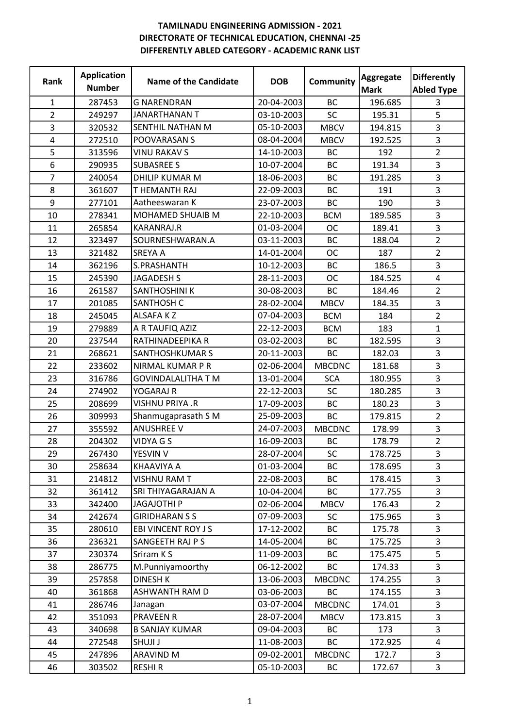| Rank                    | <b>Application</b><br><b>Number</b> | Name of the Candidate     | <b>DOB</b> | Community     | Aggregate<br><b>Mark</b> | <b>Differently</b><br><b>Abled Type</b> |
|-------------------------|-------------------------------------|---------------------------|------------|---------------|--------------------------|-----------------------------------------|
| 1                       | 287453                              | <b>G NARENDRAN</b>        | 20-04-2003 | <b>BC</b>     | 196.685                  | 3                                       |
| $\overline{2}$          | 249297                              | <b>JANARTHANAN T</b>      | 03-10-2003 | SC            | 195.31                   | 5                                       |
| 3                       | 320532                              | SENTHIL NATHAN M          | 05-10-2003 | <b>MBCV</b>   | 194.815                  | 3                                       |
| $\overline{\mathbf{4}}$ | 272510                              | POOVARASAN S              | 08-04-2004 | <b>MBCV</b>   | 192.525                  | 3                                       |
| 5                       | 313596                              | <b>VINU RAKAV S</b>       | 14-10-2003 | <b>BC</b>     | 192                      | $\overline{2}$                          |
| 6                       | 290935                              | <b>SUBASREE S</b>         | 10-07-2004 | <b>BC</b>     | 191.34                   | 3                                       |
| $\overline{7}$          | 240054                              | <b>DHILIP KUMAR M</b>     | 18-06-2003 | <b>BC</b>     | 191.285                  | 3                                       |
| 8                       | 361607                              | T HEMANTH RAJ             | 22-09-2003 | <b>BC</b>     | 191                      | 3                                       |
| 9                       | 277101                              | Aatheeswaran K            | 23-07-2003 | <b>BC</b>     | 190                      | 3                                       |
| 10                      | 278341                              | <b>MOHAMED SHUAIB M</b>   | 22-10-2003 | <b>BCM</b>    | 189.585                  | 3                                       |
| 11                      | 265854                              | <b>KARANRAJ.R</b>         | 01-03-2004 | <b>OC</b>     | 189.41                   | $\overline{3}$                          |
| 12                      | 323497                              | SOURNESHWARAN.A           | 03-11-2003 | <b>BC</b>     | 188.04                   | $\overline{2}$                          |
| 13                      | 321482                              | <b>SREYA A</b>            | 14-01-2004 | <b>OC</b>     | 187                      | $\overline{2}$                          |
| 14                      | 362196                              | S.PRASHANTH               | 10-12-2003 | <b>BC</b>     | 186.5                    | 3                                       |
| 15                      | 245390                              | <b>JAGADESH S</b>         | 28-11-2003 | <b>OC</b>     | 184.525                  | $\overline{\mathbf{4}}$                 |
| 16                      | 261587                              | <b>SANTHOSHINI K</b>      | 30-08-2003 | <b>BC</b>     | 184.46                   | $\overline{2}$                          |
| 17                      | 201085                              | <b>SANTHOSH C</b>         | 28-02-2004 | <b>MBCV</b>   | 184.35                   | 3                                       |
| 18                      | 245045                              | <b>ALSAFAKZ</b>           | 07-04-2003 | <b>BCM</b>    | 184                      | $\overline{2}$                          |
| 19                      | 279889                              | A R TAUFIQ AZIZ           | 22-12-2003 | <b>BCM</b>    | 183                      | $\mathbf{1}$                            |
| 20                      | 237544                              | RATHINADEEPIKA R          | 03-02-2003 | <b>BC</b>     | 182.595                  | 3                                       |
| 21                      | 268621                              | <b>SANTHOSHKUMAR S</b>    | 20-11-2003 | <b>BC</b>     | 182.03                   | 3                                       |
| 22                      | 233602                              | NIRMAL KUMAR P R          | 02-06-2004 | <b>MBCDNC</b> | 181.68                   | 3                                       |
| 23                      | 316786                              | <b>GOVINDALALITHA T M</b> | 13-01-2004 | <b>SCA</b>    | 180.955                  | 3                                       |
| 24                      | 274902                              | YOGARAJ R                 | 22-12-2003 | SC            | 180.285                  | 3                                       |
| 25                      | 208699                              | VISHNU PRIYA .R           | 17-09-2003 | <b>BC</b>     | 180.23                   | 3                                       |
| 26                      | 309993                              | Shanmugaprasath S M       | 25-09-2003 | <b>BC</b>     | 179.815                  | $\overline{2}$                          |
| 27                      | 355592                              | <b>ANUSHREE V</b>         | 24-07-2003 | <b>MBCDNC</b> | 178.99                   | 3                                       |
| 28                      | 204302                              | VIDYA G S                 | 16-09-2003 | BC            | 178.79                   | $\overline{2}$                          |
| 29                      | 267430                              | YESVIN V                  | 28-07-2004 | SC            | 178.725                  | 3                                       |
| 30                      | 258634                              | KHAAVIYA A                | 01-03-2004 | BC.           | 178.695                  | $\overline{3}$                          |
| 31                      | 214812                              | <b>VISHNU RAM T</b>       | 22-08-2003 | <b>BC</b>     | 178.415                  | 3                                       |
| 32                      | 361412                              | SRI THIYAGARAJAN A        | 10-04-2004 | BC            | 177.755                  | 3                                       |
| 33                      | 342400                              | <b>JAGAJOTHI P</b>        | 02-06-2004 | <b>MBCV</b>   | 176.43                   | $\overline{2}$                          |
| 34                      | 242674                              | <b>GIRIDHARAN S S</b>     | 07-09-2003 | <b>SC</b>     | 175.965                  | 3                                       |
| 35                      | 280610                              | EBI VINCENT ROY J S       | 17-12-2002 | BC            | 175.78                   | 3                                       |
| 36                      | 236321                              | SANGEETH RAJ P S          | 14-05-2004 | <b>BC</b>     | 175.725                  | 3                                       |
| 37                      | 230374                              | Sriram K S                | 11-09-2003 | BC            | 175.475                  | 5                                       |
| 38                      | 286775                              | M.Punniyamoorthy          | 06-12-2002 | <b>BC</b>     | 174.33                   | 3                                       |
| 39                      | 257858                              | <b>DINESH K</b>           | 13-06-2003 | <b>MBCDNC</b> | 174.255                  | 3                                       |
| 40                      | 361868                              | ASHWANTH RAM D            | 03-06-2003 | <b>BC</b>     | 174.155                  | 3                                       |
| 41                      | 286746                              | Janagan                   | 03-07-2004 | <b>MBCDNC</b> | 174.01                   | 3                                       |
| 42                      | 351093                              | <b>PRAVEEN R</b>          | 28-07-2004 | <b>MBCV</b>   | 173.815                  | 3                                       |
| 43                      | 340698                              | <b>B SANJAY KUMAR</b>     | 09-04-2003 | <b>BC</b>     | 173                      | 3                                       |
| 44                      | 272548                              | SHUJI J                   | 11-08-2003 | ВC            | 172.925                  | 4                                       |
| 45                      | 247896                              | <b>ARAVIND M</b>          | 09-02-2001 | <b>MBCDNC</b> | 172.7                    | 3                                       |
| 46                      | 303502                              | <b>RESHIR</b>             | 05-10-2003 | BC            | 172.67                   | 3                                       |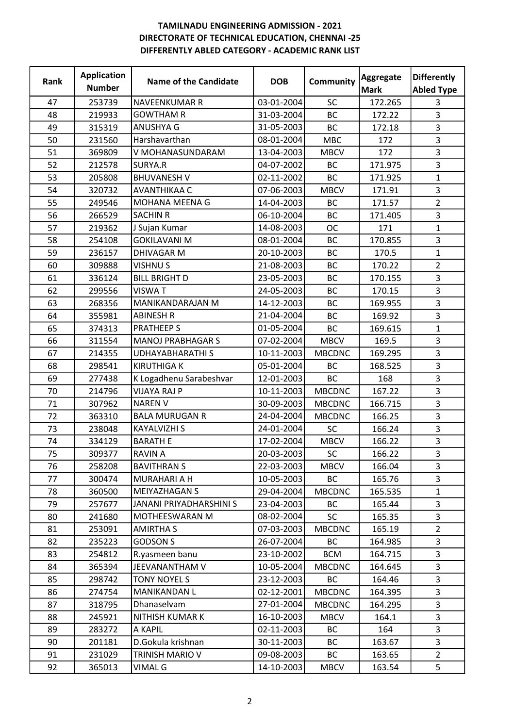| Rank | <b>Application</b><br><b>Number</b> | <b>Name of the Candidate</b> | <b>DOB</b> | Community     | Aggregate<br><b>Mark</b> | <b>Differently</b><br><b>Abled Type</b> |
|------|-------------------------------------|------------------------------|------------|---------------|--------------------------|-----------------------------------------|
| 47   | 253739                              | <b>NAVEENKUMAR R</b>         | 03-01-2004 | <b>SC</b>     | 172.265                  | 3                                       |
| 48   | 219933                              | <b>GOWTHAM R</b>             | 31-03-2004 | <b>BC</b>     | 172.22                   | 3                                       |
| 49   | 315319                              | <b>ANUSHYA G</b>             | 31-05-2003 | <b>BC</b>     | 172.18                   | 3                                       |
| 50   | 231560                              | Harshavarthan                | 08-01-2004 | <b>MBC</b>    | 172                      | 3                                       |
| 51   | 369809                              | V MOHANASUNDARAM             | 13-04-2003 | <b>MBCV</b>   | 172                      | 3                                       |
| 52   | 212578                              | SURYA.R                      | 04-07-2002 | <b>BC</b>     | 171.975                  | $\overline{3}$                          |
| 53   | 205808                              | <b>BHUVANESH V</b>           | 02-11-2002 | <b>BC</b>     | 171.925                  | $\mathbf{1}$                            |
| 54   | 320732                              | AVANTHIKAA C                 | 07-06-2003 | <b>MBCV</b>   | 171.91                   | 3                                       |
| 55   | 249546                              | MOHANA MEENA G               | 14-04-2003 | <b>BC</b>     | 171.57                   | $\overline{2}$                          |
| 56   | 266529                              | <b>SACHIN R</b>              | 06-10-2004 | <b>BC</b>     | 171.405                  | 3                                       |
| 57   | 219362                              | J Sujan Kumar                | 14-08-2003 | <b>OC</b>     | 171                      | $\mathbf{1}$                            |
| 58   | 254108                              | <b>GOKILAVANI M</b>          | 08-01-2004 | <b>BC</b>     | 170.855                  | 3                                       |
| 59   | 236157                              | DHIVAGAR M                   | 20-10-2003 | <b>BC</b>     | 170.5                    | $\mathbf{1}$                            |
| 60   | 309888                              | <b>VISHNUS</b>               | 21-08-2003 | <b>BC</b>     | 170.22                   | $\overline{2}$                          |
| 61   | 336124                              | <b>BILL BRIGHT D</b>         | 23-05-2003 | <b>BC</b>     | 170.155                  | 3                                       |
| 62   | 299556                              | <b>VISWAT</b>                | 24-05-2003 | <b>BC</b>     | 170.15                   | 3                                       |
| 63   | 268356                              | MANIKANDARAJAN M             | 14-12-2003 | <b>BC</b>     | 169.955                  | 3                                       |
| 64   | 355981                              | <b>ABINESH R</b>             | 21-04-2004 | <b>BC</b>     | 169.92                   | $\overline{3}$                          |
| 65   | 374313                              | <b>PRATHEEP S</b>            | 01-05-2004 | <b>BC</b>     | 169.615                  | $\mathbf{1}$                            |
| 66   | 311554                              | <b>MANOJ PRABHAGAR S</b>     | 07-02-2004 | <b>MBCV</b>   | 169.5                    | 3                                       |
| 67   | 214355                              | <b>UDHAYABHARATHIS</b>       | 10-11-2003 | <b>MBCDNC</b> | 169.295                  | 3                                       |
| 68   | 298541                              | <b>KIRUTHIGA K</b>           | 05-01-2004 | <b>BC</b>     | 168.525                  | 3                                       |
| 69   | 277438                              | K Logadhenu Sarabeshvar      | 12-01-2003 | <b>BC</b>     | 168                      | 3                                       |
| 70   | 214796                              | <b>VIJAYA RAJ P</b>          | 10-11-2003 | <b>MBCDNC</b> | 167.22                   | 3                                       |
| 71   | 307962                              | <b>NAREN V</b>               | 30-09-2003 | <b>MBCDNC</b> | 166.715                  | 3                                       |
| 72   | 363310                              | <b>BALA MURUGAN R</b>        | 24-04-2004 | <b>MBCDNC</b> | 166.25                   | 3                                       |
| 73   | 238048                              | <b>KAYALVIZHI S</b>          | 24-01-2004 | SC            | 166.24                   | 3                                       |
| 74   | 334129                              | <b>BARATH E</b>              | 17-02-2004 | <b>MBCV</b>   | 166.22                   | 3                                       |
| 75   | 309377                              | <b>RAVIN A</b>               | 20-03-2003 | SC            | 166.22                   | 3                                       |
| 76   | 258208                              | <b>BAVITHRAN S</b>           | 22-03-2003 | <b>MBCV</b>   | 166.04                   | 3                                       |
| 77   | 300474                              | MURAHARI A H                 | 10-05-2003 | <b>BC</b>     | 165.76                   | $\overline{3}$                          |
| 78   | 360500                              | <b>MEIYAZHAGAN S</b>         | 29-04-2004 | <b>MBCDNC</b> | 165.535                  | $\mathbf{1}$                            |
| 79   | 257677                              | JANANI PRIYADHARSHINI S      | 23-04-2003 | <b>BC</b>     | 165.44                   | 3                                       |
| 80   | 241680                              | <b>MOTHEESWARAN M</b>        | 08-02-2004 | <b>SC</b>     | 165.35                   | 3                                       |
| 81   | 253091                              | <b>AMIRTHA S</b>             | 07-03-2003 | <b>MBCDNC</b> | 165.19                   | $\overline{2}$                          |
| 82   | 235223                              | <b>GODSON S</b>              | 26-07-2004 | <b>BC</b>     | 164.985                  | 3                                       |
| 83   | 254812                              | R.yasmeen banu               | 23-10-2002 | <b>BCM</b>    | 164.715                  | 3                                       |
| 84   | 365394                              | JEEVANANTHAM V               | 10-05-2004 | <b>MBCDNC</b> | 164.645                  | 3                                       |
| 85   | 298742                              | <b>TONY NOYEL S</b>          | 23-12-2003 | <b>BC</b>     | 164.46                   | 3                                       |
| 86   | 274754                              | MANIKANDAN L                 | 02-12-2001 | <b>MBCDNC</b> | 164.395                  | 3                                       |
| 87   | 318795                              | Dhanaselvam                  | 27-01-2004 | <b>MBCDNC</b> | 164.295                  | 3                                       |
| 88   | 245921                              | NITHISH KUMAR K              | 16-10-2003 | <b>MBCV</b>   | 164.1                    | 3                                       |
| 89   | 283272                              | A KAPIL                      | 02-11-2003 | <b>BC</b>     | 164                      | 3                                       |
| 90   | 201181                              | D.Gokula krishnan            | 30-11-2003 | BC            | 163.67                   | 3                                       |
| 91   | 231029                              | TRINISH MARIO V              | 09-08-2003 | <b>BC</b>     | 163.65                   | $\overline{2}$                          |
| 92   | 365013                              | VIMAL G                      | 14-10-2003 | <b>MBCV</b>   | 163.54                   | 5                                       |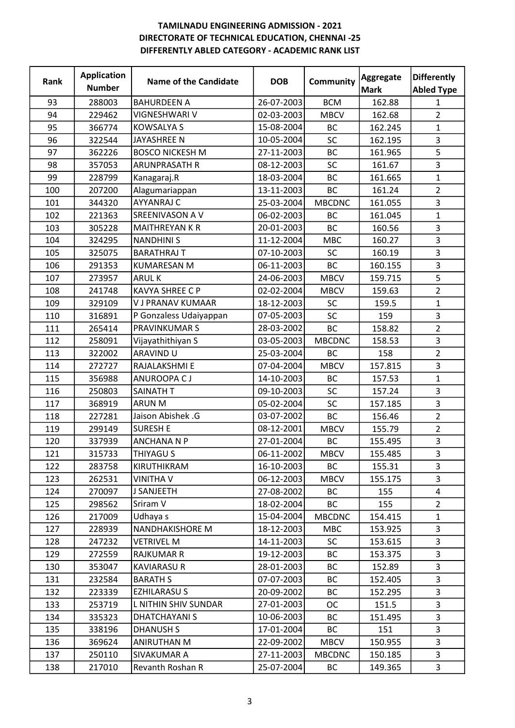| Rank | <b>Application</b><br><b>Number</b> | <b>Name of the Candidate</b> | <b>DOB</b> | Community     | Aggregate<br><b>Mark</b> | <b>Differently</b><br><b>Abled Type</b> |
|------|-------------------------------------|------------------------------|------------|---------------|--------------------------|-----------------------------------------|
| 93   | 288003                              | <b>BAHURDEEN A</b>           | 26-07-2003 | <b>BCM</b>    | 162.88                   | 1                                       |
| 94   | 229462                              | VIGNESHWARI V                | 02-03-2003 | <b>MBCV</b>   | 162.68                   | $\overline{2}$                          |
| 95   | 366774                              | <b>KOWSALYA S</b>            | 15-08-2004 | <b>BC</b>     | 162.245                  | $\mathbf{1}$                            |
| 96   | 322544                              | <b>JAYASHREE N</b>           | 10-05-2004 | SC            | 162.195                  | 3                                       |
| 97   | 362226                              | <b>BOSCO NICKESH M</b>       | 27-11-2003 | <b>BC</b>     | 161.965                  | 5                                       |
| 98   | 357053                              | <b>ARUNPRASATH R</b>         | 08-12-2003 | SC            | 161.67                   | $\overline{3}$                          |
| 99   | 228799                              | Kanagaraj.R                  | 18-03-2004 | <b>BC</b>     | 161.665                  | $\mathbf{1}$                            |
| 100  | 207200                              | Alagumariappan               | 13-11-2003 | <b>BC</b>     | 161.24                   | $\overline{2}$                          |
| 101  | 344320                              | <b>AYYANRAJ C</b>            | 25-03-2004 | <b>MBCDNC</b> | 161.055                  | 3                                       |
| 102  | 221363                              | SREENIVASON A V              | 06-02-2003 | <b>BC</b>     | 161.045                  | $\mathbf{1}$                            |
| 103  | 305228                              | <b>MAITHREYAN K R</b>        | 20-01-2003 | <b>BC</b>     | 160.56                   | 3                                       |
| 104  | 324295                              | <b>NANDHINIS</b>             | 11-12-2004 | <b>MBC</b>    | 160.27                   | 3                                       |
| 105  | 325075                              | <b>BARATHRAJ T</b>           | 07-10-2003 | SC            | 160.19                   | 3                                       |
| 106  | 291353                              | <b>KUMARESAN M</b>           | 06-11-2003 | <b>BC</b>     | 160.155                  | $\overline{3}$                          |
| 107  | 273957                              | <b>ARULK</b>                 | 24-06-2003 | <b>MBCV</b>   | 159.715                  | 5                                       |
| 108  | 241748                              | <b>KAVYA SHREE C P</b>       | 02-02-2004 | <b>MBCV</b>   | 159.63                   | $\overline{2}$                          |
| 109  | 329109                              | <b>V J PRANAV KUMAAR</b>     | 18-12-2003 | SC            | 159.5                    | $\mathbf{1}$                            |
| 110  | 316891                              | P Gonzaless Udaiyappan       | 07-05-2003 | SC            | 159                      | 3                                       |
| 111  | 265414                              | PRAVINKUMAR S                | 28-03-2002 | <b>BC</b>     | 158.82                   | $\overline{2}$                          |
| 112  | 258091                              | Vijayathithiyan S            | 03-05-2003 | <b>MBCDNC</b> | 158.53                   | 3                                       |
| 113  | 322002                              | <b>ARAVIND U</b>             | 25-03-2004 | <b>BC</b>     | 158                      | $\overline{2}$                          |
| 114  | 272727                              | RAJALAKSHMI E                | 07-04-2004 | <b>MBCV</b>   | 157.815                  | 3                                       |
| 115  | 356988                              | ANUROOPA CJ                  | 14-10-2003 | BC            | 157.53                   | $\mathbf{1}$                            |
| 116  | 250803                              | SAINATH T                    | 09-10-2003 | SC            | 157.24                   | 3                                       |
| 117  | 368919                              | <b>ARUN M</b>                | 05-02-2004 | SC            | 157.185                  | 3                                       |
| 118  | 227281                              | Jaison Abishek .G            | 03-07-2002 | <b>BC</b>     | 156.46                   | $\overline{2}$                          |
| 119  | 299149                              | <b>SURESH E</b>              | 08-12-2001 | <b>MBCV</b>   | 155.79                   | $\overline{2}$                          |
| 120  | 337939                              | <b>ANCHANA N P</b>           | 27-01-2004 | <b>BC</b>     | 155.495                  | 3                                       |
| 121  | 315733                              | <b>THIYAGU S</b>             | 06-11-2002 | <b>MBCV</b>   | 155.485                  | 3                                       |
| 122  | 283758                              | KIRUTHIKRAM                  | 16-10-2003 | BC            | 155.31                   | 3                                       |
| 123  | 262531                              | <b>VINITHA V</b>             | 06-12-2003 | <b>MBCV</b>   | 155.175                  | $\overline{3}$                          |
| 124  | 270097                              | J SANJEETH                   | 27-08-2002 | BC            | 155                      | $\overline{4}$                          |
| 125  | 298562                              | Sriram V                     | 18-02-2004 | <b>BC</b>     | 155                      | $\overline{2}$                          |
| 126  | 217009                              | Udhaya s                     | 15-04-2004 | <b>MBCDNC</b> | 154.415                  | $\mathbf{1}$                            |
| 127  | 228939                              | NANDHAKISHORE M              | 18-12-2003 | <b>MBC</b>    | 153.925                  | 3                                       |
| 128  | 247232                              | <b>VETRIVEL M</b>            | 14-11-2003 | <b>SC</b>     | 153.615                  | 3                                       |
| 129  | 272559                              | <b>RAJKUMAR R</b>            | 19-12-2003 | BC            | 153.375                  | 3                                       |
| 130  | 353047                              | <b>KAVIARASU R</b>           | 28-01-2003 | <b>BC</b>     | 152.89                   | 3                                       |
| 131  | 232584                              | <b>BARATH S</b>              | 07-07-2003 | BC            | 152.405                  | 3                                       |
| 132  | 223339                              | <b>EZHILARASU S</b>          | 20-09-2002 | <b>BC</b>     | 152.295                  | 3                                       |
| 133  | 253719                              | L NITHIN SHIV SUNDAR         | 27-01-2003 | <b>OC</b>     | 151.5                    | 3                                       |
| 134  | 335323                              | <b>DHATCHAYANI S</b>         | 10-06-2003 | BC            | 151.495                  | 3                                       |
| 135  | 338196                              | <b>DHANUSH S</b>             | 17-01-2004 | <b>BC</b>     | 151                      | 3                                       |
| 136  | 369624                              | ANIRUTHAN M                  | 22-09-2002 | <b>MBCV</b>   | 150.955                  | 3                                       |
| 137  | 250110                              | SIVAKUMAR A                  | 27-11-2003 | <b>MBCDNC</b> | 150.185                  | $\overline{3}$                          |
| 138  | 217010                              | Revanth Roshan R             | 25-07-2004 | BC            | 149.365                  | 3                                       |